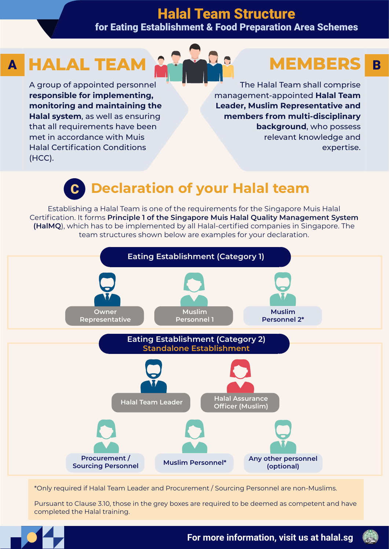## Halal Team Structure for Eating Establishment & Food Preparation Area Schemes

# A HALAL TEAM **A BEAR AND MEMBERS** B

A group of appointed personnel **responsible for implementing, monitoring and maintaining the Halal system**, as well as ensuring that all requirements have been met in accordance with Muis Halal Certification Conditions (HCC).

# **MEMBERS**

The Halal Team shall comprise management-appointed **Halal Team Leader, Muslim Representative and members from multi-disciplinary background**, who possess relevant knowledge and expertise.

# **Declaration of your Halal team**

Establishing a Halal Team is one of the requirements for the Singapore Muis Halal Certification. It forms **Principle 1 of the Singapore Muis Halal Quality Management System (HalMQ**), which has to be implemented by all Halal-certified companies in Singapore. The team structures shown below are examples for your declaration.



\*Only required if Halal Team Leader and Procurement / Sourcing Personnel are non-Muslims.

Pursuant to Clause 3.10, those in the grey boxes are required to be deemed as competent and have completed the Halal training.



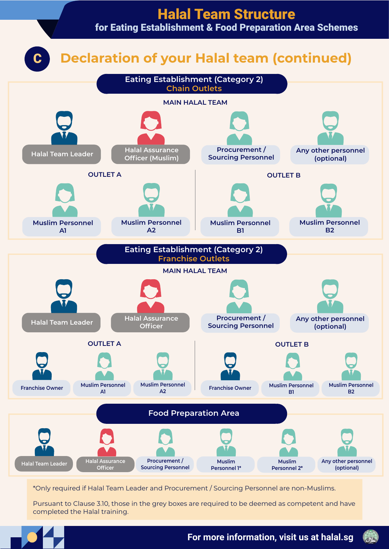

\*Only required if Halal Team Leader and Procurement / Sourcing Personnel are non-Muslims.

Pursuant to Clause 3.10, those in the grey boxes are required to be deemed as competent and have completed the Halal training.